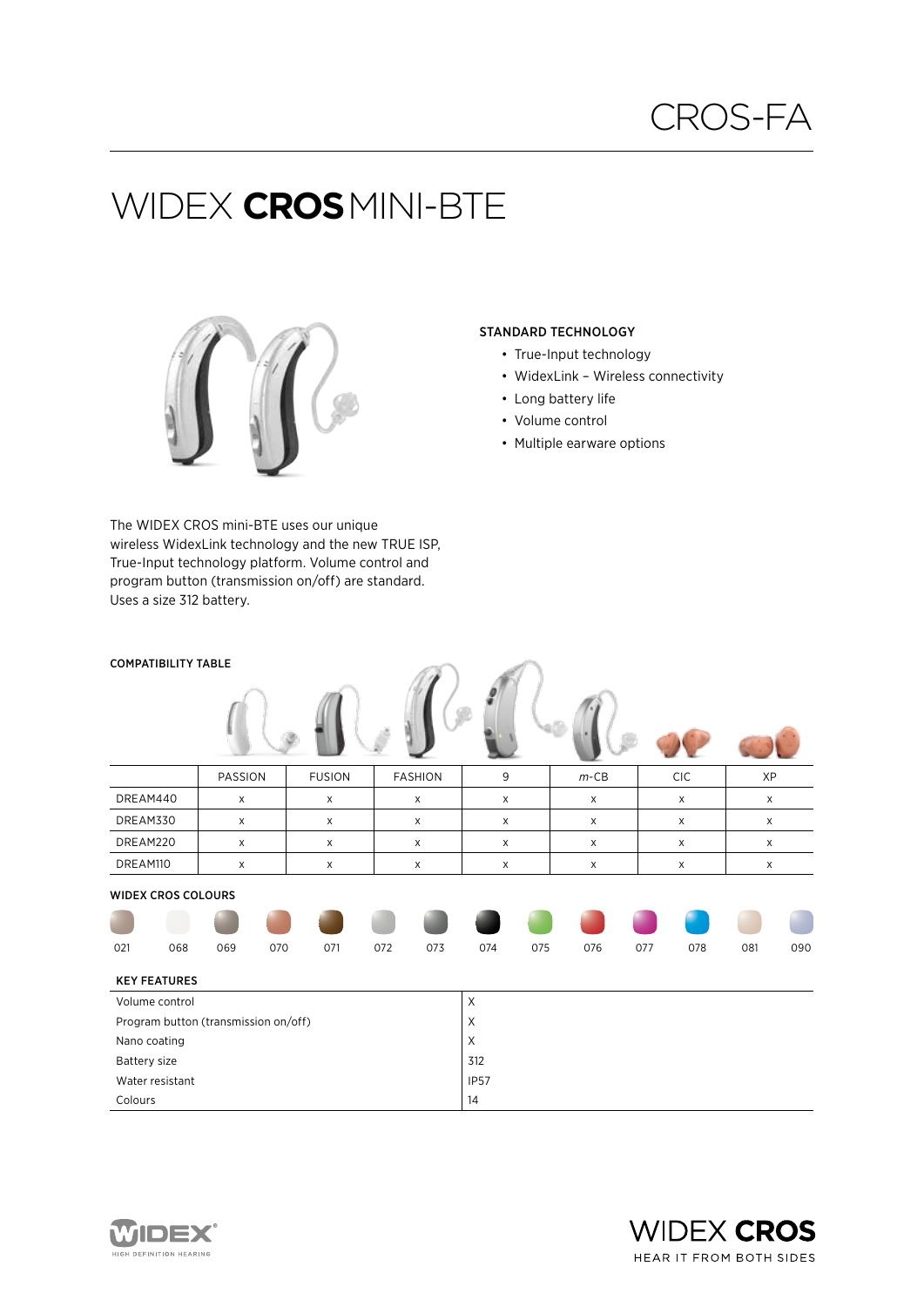# Widex **cros**mini-BTE



The WIDEX CROS mini-BTE uses our unique wireless WidexLink technology and the new TRUE ISP, True-Input technology platform. Volume control and program button (transmission on/off) are standard. Uses a size 312 battery.

### STANDARD TECHNOLOGY

- True-Input technology
- WidexLink Wireless connectivity
- Long battery life
- Volume control
- Multiple earware options

| <b>COMPATIBILITY TABLE</b>           |                           |              |     |               |              |                |             |     |              |             |              |             |     |  |
|--------------------------------------|---------------------------|--------------|-----|---------------|--------------|----------------|-------------|-----|--------------|-------------|--------------|-------------|-----|--|
|                                      |                           |              |     |               |              |                |             |     |              |             |              |             |     |  |
|                                      |                           | PASSION      |     | <b>FUSION</b> |              | <b>FASHION</b> | 9           |     | $m$ -CB      |             | CIC          | XP          |     |  |
| DREAM440                             |                           | X            |     | $\mathsf X$   | $\mathsf X$  |                | $\mathsf X$ |     | X            | $\mathsf X$ |              | $\mathsf X$ |     |  |
| DREAM330                             |                           | X            |     | $\mathsf X$   | $\mathsf X$  |                | X           |     | X            |             | $\mathsf X$  | X           |     |  |
| DREAM220                             |                           | $\mathsf{x}$ |     | X             |              | $\times$       |             |     | $\mathsf{X}$ |             | $\mathsf{x}$ |             | X   |  |
| DREAM110                             |                           | X            |     | $\mathsf X$   |              | X              |             |     | X            |             | $\mathsf X$  |             | X   |  |
|                                      | <b>WIDEX CROS COLOURS</b> |              |     |               |              |                |             |     |              |             |              |             |     |  |
|                                      |                           |              |     |               |              |                |             |     |              |             |              |             |     |  |
| 021                                  | 068                       | 069          | 070 | 071           | 072          | 073            | 074         | 075 | 076          | 077         | 078          | 081         | 090 |  |
|                                      | <b>KEY FEATURES</b>       |              |     |               |              |                |             |     |              |             |              |             |     |  |
| Volume control                       |                           |              |     |               |              | $\mathsf X$    |             |     |              |             |              |             |     |  |
| Program button (transmission on/off) |                           |              |     |               |              |                | X           |     |              |             |              |             |     |  |
| Nano coating                         |                           |              |     |               | $\mathsf{X}$ |                |             |     |              |             |              |             |     |  |
| Battery size                         |                           |              |     |               | 312          |                |             |     |              |             |              |             |     |  |
|                                      | Water resistant           |              |     |               |              |                | <b>IP57</b> |     |              |             |              |             |     |  |
| Colours                              |                           |              |     |               | 14           |                |             |     |              |             |              |             |     |  |